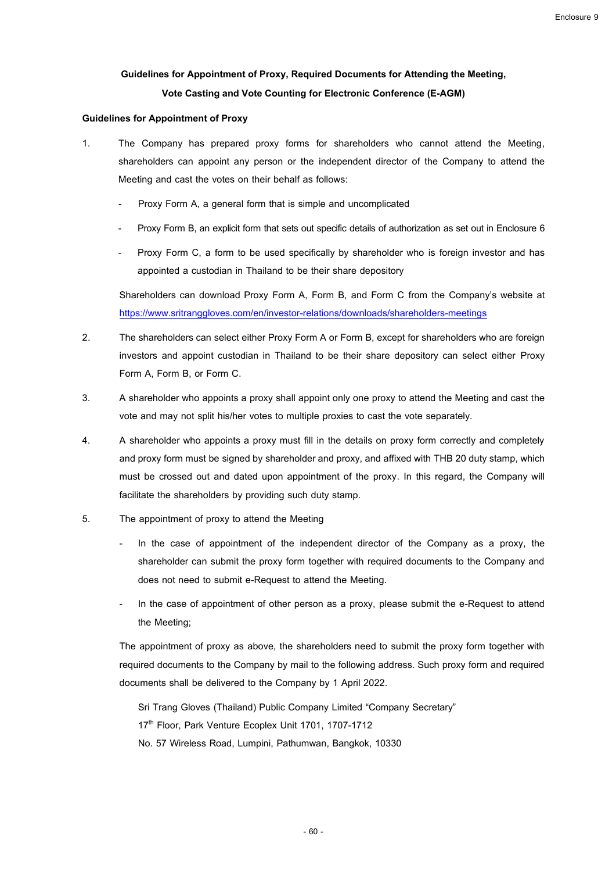# **Guidelines for Appointment of Proxy, Required Documents for Attending the Meeting, Vote Casting and Vote Counting for Electronic Conference (E-AGM)**

### **Guidelines for Appointment of Proxy**

- 1. The Company has prepared proxy forms for shareholders who cannot attend the Meeting, shareholders can appoint any person or the independent director of the Company to attend the Meeting and cast the votes on their behalf as follows:
	- Proxy Form A, a general form that is simple and uncomplicated
	- Proxy Form B, an explicit form that sets out specific details of authorization as set out in Enclosure 6
	- Proxy Form C, a form to be used specifically by shareholder who is foreign investor and has appointed a custodian in Thailand to be their share depository

Shareholders can download Proxy Form A, Form B, and Form C from the Company's website at <https://www.sritranggloves.com/en/investor-relations/downloads/shareholders-meetings>

- 2. The shareholders can select either Proxy Form A or Form B, except for shareholders who are foreign investors and appoint custodian in Thailand to be their share depository can select either Proxy Form A, Form B, or Form C.
- 3. A shareholder who appoints a proxy shall appoint only one proxy to attend the Meeting and cast the vote and may not split his/her votes to multiple proxies to cast the vote separately.
- 4. A shareholder who appoints a proxy must fill in the details on proxy form correctly and completely and proxy form must be signed by shareholder and proxy, and affixed with THB 20 duty stamp, which must be crossed out and dated upon appointment of the proxy. In this regard, the Company will facilitate the shareholders by providing such duty stamp.
- 5. The appointment of proxy to attend the Meeting
	- In the case of appointment of the independent director of the Company as a proxy, the shareholder can submit the proxy form together with required documents to the Company and does not need to submit e-Request to attend the Meeting.
	- In the case of appointment of other person as a proxy, please submit the e-Request to attend the Meeting;

The appointment of proxy as above, the shareholders need to submit the proxy form together with required documents to the Company by mail to the following address. Such proxy form and required documents shall be delivered to the Company by 1 April 2022.

Sri Trang Gloves (Thailand) Public Company Limited "Company Secretary"

17<sup>th</sup> Floor, Park Venture Ecoplex Unit 1701, 1707-1712

No. 57 Wireless Road, Lumpini, Pathumwan, Bangkok, 10330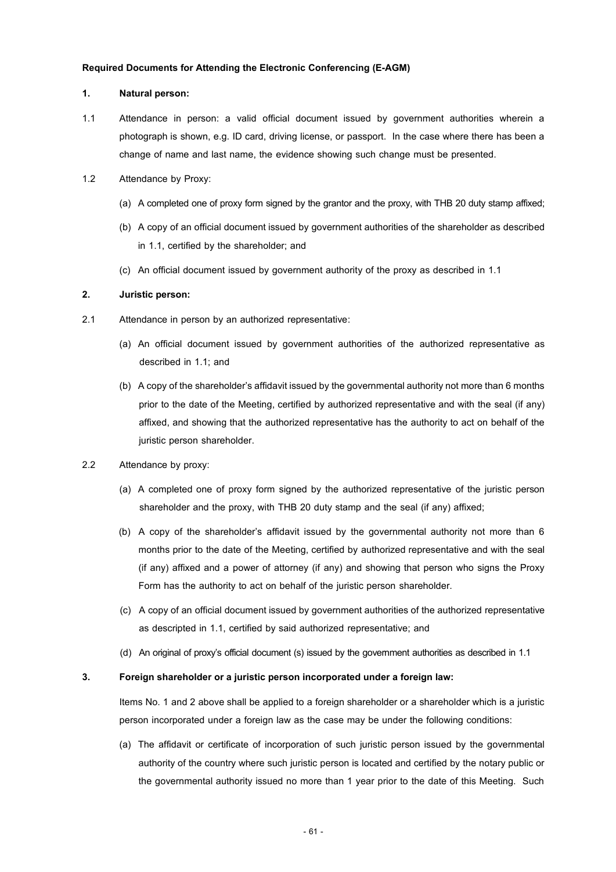### **Required Documents for Attending the Electronic Conferencing(E-AGM)**

#### **1. Natural person:**

- 1.1 Attendance in person: a valid official document issued by government authorities wherein a photograph is shown, e.g. ID card, driving license, or passport. In the case where there has been a change of name and last name, the evidence showing such change must be presented.
- 1.2 Attendance by Proxy:
	- (a) A completed one of proxy form signed by the grantor and the proxy, with THB 20 duty stamp affixed;
	- (b) A copy of an official document issued by government authorities of the shareholder as described in 1.1, certified by the shareholder; and
	- (c) An official document issued by government authority of the proxy as described in 1.1

# **2. Juristic person:**

- 2.1 Attendance in person by an authorized representative:
	- (a) An official document issued by government authorities of the authorized representative as described in 1.1; and
	- (b) A copy of the shareholder's affidavit issued by the governmental authority not more than 6 months prior to the date of the Meeting, certified by authorized representative and with the seal (if any) affixed, and showing that the authorized representative has the authority to act on behalf of the juristic person shareholder.

# 2.2 Attendance by proxy:

- (a) A completed one of proxy form signed by the authorized representative of the juristic person shareholder and the proxy, with THB 20 duty stamp and the seal (if any) affixed;
- (b) A copy of the shareholder's affidavit issued by the governmental authority not more than 6 months prior to the date of the Meeting, certified by authorized representative and with the seal (if any) affixed and a power of attorney (if any) and showing that person who signs the Proxy Form has the authority to act on behalf of the juristic person shareholder.
- (c) A copy of an official document issued by government authorities of the authorized representative as descripted in 1.1, certified by said authorized representative; and
- (d) An original of proxy's official document (s) issued by the government authorities as described in 1.1

# **3. Foreign shareholder or a juristic person incorporated under a foreign law:**

Items No. 1 and 2 above shall be applied to a foreign shareholder or a shareholder which is a juristic person incorporated under a foreign law as the case may be under the following conditions:

(a) The affidavit or certificate of incorporation of such juristic person issued by the governmental authority of the country where such juristic person is located and certified by the notary public or the governmental authority issued no more than 1 year prior to the date of this Meeting. Such